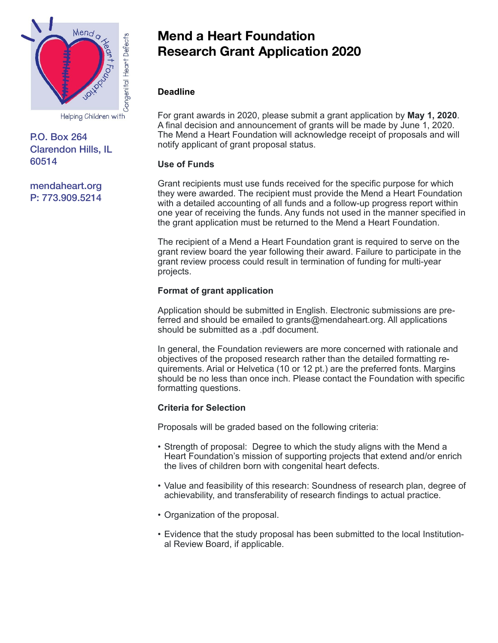

# P.O. Box 264 Clarendon Hills, IL 60514

[mendaheart.org](http://mendaheart.org) P: 773.909.5214

# **Mend a Heart Foundation Research Grant Application 2020**

# **Deadline**

For grant awards in 2020, please submit a grant application by **May 1, 2020**. A final decision and announcement of grants will be made by June 1, 2020. The Mend a Heart Foundation will acknowledge receipt of proposals and will notify applicant of grant proposal status.

## **Use of Funds**

Grant recipients must use funds received for the specific purpose for which they were awarded. The recipient must provide the Mend a Heart Foundation with a detailed accounting of all funds and a follow-up progress report within one year of receiving the funds. Any funds not used in the manner specified in the grant application must be returned to the Mend a Heart Foundation.

The recipient of a Mend a Heart Foundation grant is required to serve on the grant review board the year following their award. Failure to participate in the grant review process could result in termination of funding for multi-year projects.

# **Format of grant application**

Application should be submitted in English. Electronic submissions are preferred and should be emailed to grants@mendaheart.org. All applications should be submitted as a .pdf document.

In general, the Foundation reviewers are more concerned with rationale and objectives of the proposed research rather than the detailed formatting requirements. Arial or Helvetica (10 or 12 pt.) are the preferred fonts. Margins should be no less than once inch. Please contact the Foundation with specific formatting questions.

## **Criteria for Selection**

Proposals will be graded based on the following criteria:

- Strength of proposal: Degree to which the study aligns with the Mend a Heart Foundation's mission of supporting projects that extend and/or enrich the lives of children born with congenital heart defects.
- Value and feasibility of this research: Soundness of research plan, degree of achievability, and transferability of research findings to actual practice.
- Organization of the proposal.
- Evidence that the study proposal has been submitted to the local Institutional Review Board, if applicable.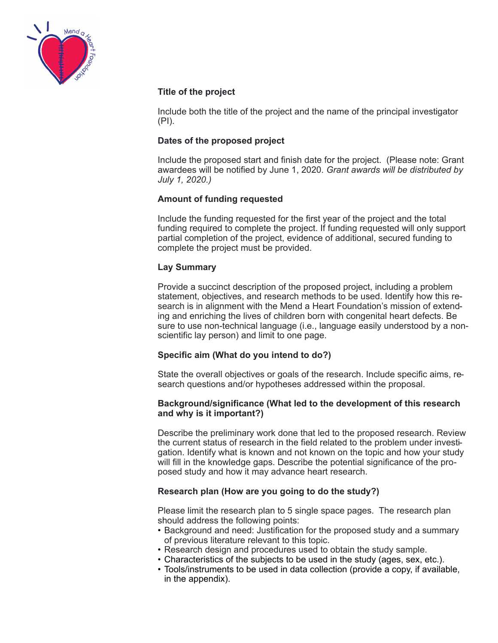

## **Title of the project**

Include both the title of the project and the name of the principal investigator (PI).

## **Dates of the proposed project**

Include the proposed start and finish date for the project. (Please note: Grant awardees will be notified by June 1, 2020. *Grant awards will be distributed by July 1, 2020.)* 

## **Amount of funding requested**

Include the funding requested for the first year of the project and the total funding required to complete the project. If funding requested will only support partial completion of the project, evidence of additional, secured funding to complete the project must be provided.

## **Lay Summary**

Provide a succinct description of the proposed project, including a problem statement, objectives, and research methods to be used. Identify how this research is in alignment with the Mend a Heart Foundation's mission of extending and enriching the lives of children born with congenital heart defects. Be sure to use non-technical language (i.e., language easily understood by a nonscientific lay person) and limit to one page.

#### **Specific aim (What do you intend to do?)**

State the overall objectives or goals of the research. Include specific aims, research questions and/or hypotheses addressed within the proposal.

#### **Background/significance (What led to the development of this research and why is it important?)**

Describe the preliminary work done that led to the proposed research. Review the current status of research in the field related to the problem under investigation. Identify what is known and not known on the topic and how your study will fill in the knowledge gaps. Describe the potential significance of the proposed study and how it may advance heart research.

## **Research plan (How are you going to do the study?)**

Please limit the research plan to 5 single space pages. The research plan should address the following points:

- Background and need: Justification for the proposed study and a summary of previous literature relevant to this topic.
- Research design and procedures used to obtain the study sample.
- Characteristics of the subjects to be used in the study (ages, sex, etc.).
- Tools/instruments to be used in data collection (provide a copy, if available, in the appendix).